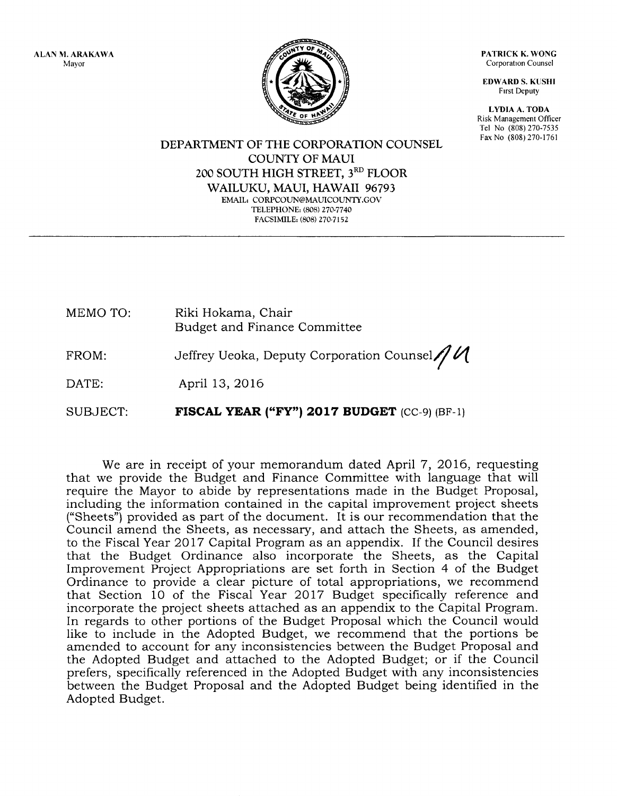ALAN M. ARAKAWA Mayor



PATRICK K. WONG Corporation Counsel

EDWARD S. KUSHI Frrst Deputy

LYDIA A. TODA Risk Management Officer Tel No (808) 270-7535 Fax No (808) 270-1761

DEPARTMENT OF THE CORPORATION COLINSEL COLINTY OF MAUI 200 SOUTH HIGH STREET, 3RD FLOOR WAILUKU, MAUI, HAWAII 96793 EMAIL: CORPCOTIN@MALIICOLINTY.GOV TELEPHONE: (808) 270-7740 FACSIMILE: (808) 270,7I52

| MEMO TO: | Riki Hokama, Chair           |
|----------|------------------------------|
|          | Budget and Finance Committee |

FROM: Jeffrey Ueoka, Deputy Corporation Counsel  $\mathcal N$ 

DATE: April 13,2016

SUBJECT: FISCAL YEAR ("FY") 2017 BUDGET  $(CC-9)$  (BF-1)

We are in receipt of your memorandum dated April 7, 2016, requesting that we provide the Budget and Finance Committee with language that will require the Mayor to abide by representations made in the Budget Proposal, including the information contained in the capital improvement project sheets ("Sheets") provided as part of the document. It is our recommendation that the Council amend the Sheets, as necessary, and attach the Sheets, as amended, to the Fiscal Year 2Ol7 Capital Program as an appendix. If the Council desires that the Budget Ordinance also incorporate the Sheets, as the Capital Improvement Project Appropriations are set forth in Section 4 of the Budget Ordinance to provide a clear picture of total appropriations, we recommend that Section 10 of the Fiscal Year 2Ol7 Budget specifically reference and incorporate the project sheets attached as an appendix to the Capital Program. In regards to other portions of the Budget Proposal which the Council would like to include in the Adopted Budget, we recommend that the portions be amended to account for any inconsistencies between the Budget Proposal and the Adopted Budget and attached to the Adopted Budget; or if the Council prefers, specifically referenced in the Adopted Budget with any inconsistencies between the Budget Proposal and the Adopted Budget being identified in the Adopted Budget.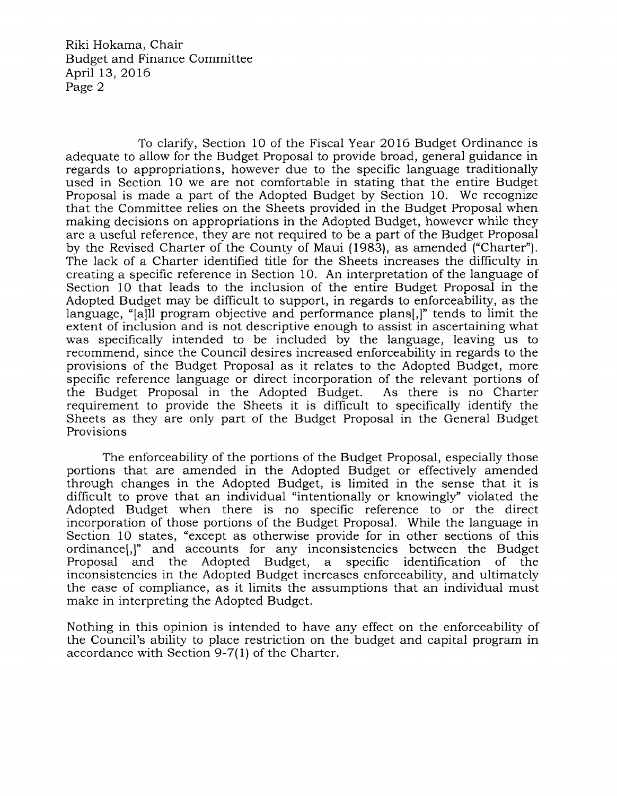Riki Hokama, Chair Budget and Finance Committee April 13,2016 Page 2

To clarify, Section 1O of the Fiscal Year 2016 Budget Ordinance is adequate to allow for the Budget Proposal to provide broad, general guidance in regards to appropriations, however due to the specific language traditionally used in Section 1O we are not comfortable in stating that the entire Budget Proposal is made a part of the Adopted Budget by Section 10. We recognize that the Committee relies on the Sheets provided in the Budget Proposal when making decisions on appropriations in the Adopted Budget, however while they are a useful reference, they are not required to be a part of the Budget Proposal by the Revised Charter of the County of Maui (1983), as amended ("Charter"). The lack of a Charter identified title for the Sheets increases the difficulty in creating a specific reference in Section 10. An interpretation of the language of Section 10 that leads to the inclusion of the entire Budget Proposal in the Adopted Budget may be difficult to support, in regards to enforceability, as the language, "[a]11 program objective and performance plans[,]" tends to limit the extent of inclusion and is not descriptive enough to assist in ascertaining what was specifically intended to be included by the language, leaving us to recommend, since the Council desires increased enforceability in regards to the provisions of the Budget Proposal as it relates to the Adopted Budget, more specific reference language or direct incorporation of the relevant portions of the Budget Proposal in the Adopted Budget. As there is no Charter the Budget Proposal in the Adopted Budget. requirement to provide the Sheets it is difficult to specifically identify the Sheets as they are only part of the Budget Proposal in the General Budget Provisions

The enforceability of the portions of the Budget Proposal, especially those portions that are amended in the Adopted Budget or effectively amended through changes in the Adopted Budget, is limited in the sense that it is difficult to prove that an individual "intentionally or knowingly" violated the Adopted Budget when there is no specific reference to or the direct incorporation of those portions of the Budget Proposal. While the language in Section 1O states, "except as otherwise provide for in other sections of this ordinance[,]" and accounts for any inconsistencies between the Budget Proposal and the Adopted Budget, a inconsistencies in the Adopted Budget increases enforceability, and ultimately the ease of compliance, as it limits the assumptions that an individual must make in interpreting the Adopted Budget.

Nothing in this opinion is intended to have any effect on the enforceability of the Council's ability to place restriction on the budget and capital program in accordance with Section 9-7(1) of the Charter.